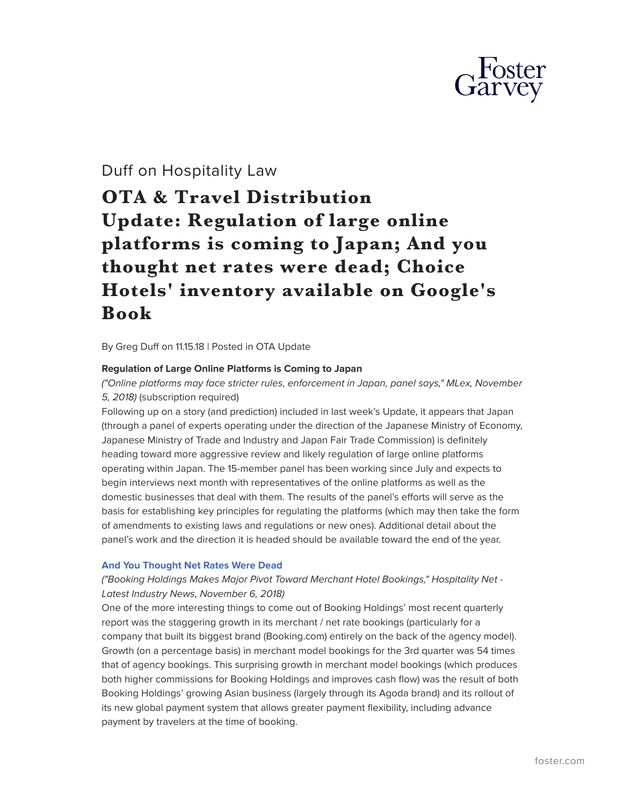

# Duff on Hospitality Law

# **OTA & Travel Distribution Update: Regulation of large online platforms is coming to Japan; And you thought net rates were dead; Choice Hotels' inventory available on Google's Book**

By Greg Duff on 11.15.18 | Posted in OTA Update

# **Regulation of Large Online Platforms is Coming to Japan**

*("Online platforms may face stricter rules, enforcement in Japan, panel says," MLex, November 5, 2018)* (subscription required)

Following up on a story (and prediction) included in last week's Update, it appears that Japan (through a panel of experts operating under the direction of the Japanese Ministry of Economy, Japanese Ministry of Trade and Industry and Japan Fair Trade Commission) is definitely heading toward more aggressive review and likely regulation of large online platforms operating within Japan. The 15-member panel has been working since July and expects to begin interviews next month with representatives of the online platforms as well as the domestic businesses that deal with them. The results of the panel's efforts will serve as the basis for establishing key principles for regulating the platforms (which may then take the form of amendments to existing laws and regulations or new ones). Additional detail about the panel's work and the direction it is headed should be available toward the end of the year.

# **[And You Thought Net Rates Were Dead](https://www.hospitalitynet.org/news/4090653.html)**

# *("Booking Holdings Makes Major Pivot Toward Merchant Hotel Bookings," Hospitality Net - Latest Industry News, November 6, 2018)*

One of the more interesting things to come out of Booking Holdings' most recent quarterly report was the staggering growth in its merchant / net rate bookings (particularly for a company that built its biggest brand (Booking.com) entirely on the back of the agency model). Growth (on a percentage basis) in merchant model bookings for the 3rd quarter was 54 times that of agency bookings. This surprising growth in merchant model bookings (which produces both higher commissions for Booking Holdings and improves cash flow) was the result of both Booking Holdings' growing Asian business (largely through its Agoda brand) and its rollout of its new global payment system that allows greater payment flexibility, including advance payment by travelers at the time of booking.